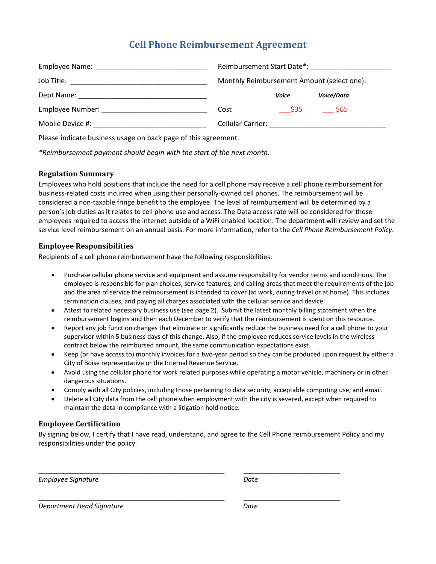# **Cell Phone Reimbursement Agreement**

| Employee Name: Name: Name: Name and Name and Name and Name and Name and Name and Name and Name and Name and Na  | Reimbursement Start Date*:                 |        |            |
|-----------------------------------------------------------------------------------------------------------------|--------------------------------------------|--------|------------|
|                                                                                                                 | Monthly Reimbursement Amount (select one): |        |            |
|                                                                                                                 |                                            | Voice  | Voice/Data |
| Employee Number: The contract of the contract of the contract of the contract of the contract of the contract o | Cost                                       | - \$35 | \$65       |
| Mobile Device #:                                                                                                |                                            |        |            |

Please indicate business usage on back page of this agreement.

*\*Reimbursement payment should begin with the start of the next month.*

### **Regulation Summary**

Employees who hold positions that include the need for a cell phone may receive a cell phone reimbursement for business‐related costs incurred when using their personally‐owned cell phones. The reimbursement will be considered a non‐taxable fringe benefit to the employee. The level of reimbursement will be determined by a person's job duties as it relates to cell phone use and access. The Data access rate will be considered for those employees required to access the internet outside of a WiFi enabled location. The department will review and set the service level reimbursement on an annual basis. For more information, refer to the *Cell Phone Reimbursement Policy*.

## **Employee Responsibilities**

Recipients of a cell phone reimbursement have the following responsibilities:

- Purchase cellular phone service and equipment and assume responsibility for vendor terms and conditions. The employee is responsible for plan choices, service features, and calling areas that meet the requirements of the job and the area of service the reimbursement is intended to cover (at work, during travel or at home). This includes termination clauses, and paying all charges associated with the cellular service and device.
- Attest to related necessary business use (see page 2). Submit the latest monthly billing statement when the reimbursement begins and then each December to verify that the reimbursement is spent on this resource.
- Report any job function changes that eliminate or significantly reduce the business need for a cell phone to your supervisor within 5 business days of this change. Also, if the employee reduces service levels in the wireless contract below the reimbursed amount, the same communication expectations exist.
- Keep (or have access to) monthly invoices for a two-year period so they can be produced upon request by either a City of Boise representative or the Internal Revenue Service.
- Avoid using the cellular phone for work related purposes while operating a motor vehicle, machinery or in other dangerous situations.
- Comply with all City policies, including those pertaining to data security, acceptable computing use, and email.
- Delete all City data from the cell phone when employment with the city is severed, except when required to maintain the data in compliance with a litigation hold notice.

### **Employee Certification**

By signing below, I certify that I have read, understand, and agree to the Cell Phone reimbursement Policy and my responsibilities under the policy.

\_\_\_\_\_\_\_\_\_\_\_\_\_\_\_\_\_\_\_\_\_\_\_\_\_\_\_\_\_\_\_\_\_\_\_\_\_\_\_\_\_\_\_\_\_\_\_\_\_\_ \_\_\_\_\_\_\_\_\_\_\_\_\_\_\_\_\_\_\_\_\_\_\_\_\_\_

\_\_\_\_\_\_\_\_\_\_\_\_\_\_\_\_\_\_\_\_\_\_\_\_\_\_\_\_\_\_\_\_\_\_\_\_\_\_\_\_\_\_\_\_\_\_\_\_\_\_ \_\_\_\_\_\_\_\_\_\_\_\_\_\_\_\_\_\_\_\_\_\_\_\_\_\_

*Employee Signature*  $\blacksquare$ *Date Date* 

*Department Head Signature Date*